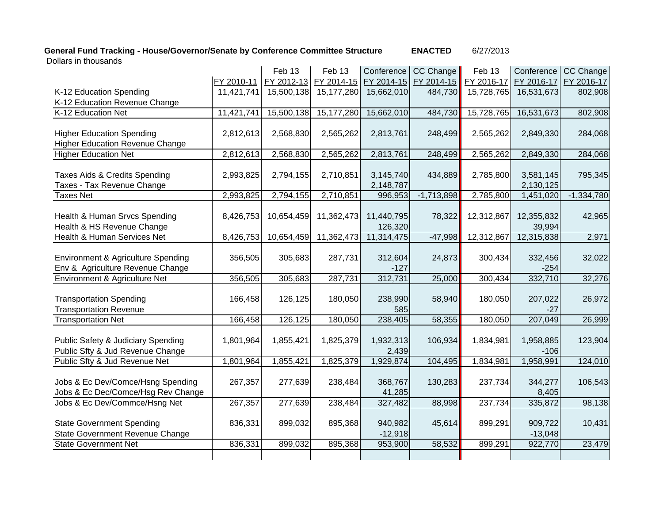## General Fund Tracking - House/Governor/Senate by Conference Committee Structure ENACTED 6/27/2013 Dollars in thousands

|                                        |            | Feb 13     | Feb 13     |            | Conference   CC Change | Feb 13     | Conference | CC Change    |
|----------------------------------------|------------|------------|------------|------------|------------------------|------------|------------|--------------|
|                                        | FY 2010-11 | FY 2012-13 | FY 2014-15 | FY 2014-15 | FY 2014-15             | FY 2016-17 | FY 2016-17 | FY 2016-17   |
| K-12 Education Spending                | 11,421,741 | 15,500,138 | 15,177,280 | 15,662,010 | 484,730                | 15,728,765 | 16,531,673 | 802,908      |
| K-12 Education Revenue Change          |            |            |            |            |                        |            |            |              |
| K-12 Education Net                     | 11,421,741 | 15,500,138 | 15,177,280 | 15,662,010 | 484,730                | 15,728,765 | 16,531,673 | 802,908      |
|                                        |            |            |            |            |                        |            |            |              |
| <b>Higher Education Spending</b>       | 2,812,613  | 2,568,830  | 2,565,262  | 2,813,761  | 248,499                | 2,565,262  | 2,849,330  | 284,068      |
| <b>Higher Education Revenue Change</b> |            |            |            |            |                        |            |            |              |
| <b>Higher Education Net</b>            | 2,812,613  | 2,568,830  | 2,565,262  | 2,813,761  | 248,499                | 2,565,262  | 2,849,330  | 284,068      |
|                                        |            |            |            |            |                        |            |            |              |
| Taxes Aids & Credits Spending          | 2,993,825  | 2,794,155  | 2,710,851  | 3,145,740  | 434,889                | 2,785,800  | 3,581,145  | 795,345      |
| Taxes - Tax Revenue Change             |            |            |            | 2,148,787  |                        |            | 2,130,125  |              |
| Taxes Net                              | 2,993,825  | 2,794,155  | 2,710,851  | 996,953    | $-1,713,898$           | 2,785,800  | 1,451,020  | $-1,334,780$ |
|                                        |            |            |            |            |                        |            |            |              |
| Health & Human Srvcs Spending          | 8,426,753  | 10,654,459 | 11,362,473 | 11,440,795 | 78,322                 | 12,312,867 | 12,355,832 | 42,965       |
| Health & HS Revenue Change             |            |            |            | 126,320    |                        |            | 39,994     |              |
| Health & Human Services Net            | 8,426,753  | 10,654,459 | 11,362,473 | 11,314,475 | $-47,998$              | 12,312,867 | 12,315,838 | 2,971        |
|                                        |            |            |            |            |                        |            |            |              |
| Environment & Agriculture Spending     | 356,505    | 305,683    | 287,731    | 312,604    | 24,873                 | 300,434    | 332,456    | 32,022       |
| Env & Agriculture Revenue Change       |            |            |            | $-127$     |                        |            | $-254$     |              |
| Environment & Agriculture Net          | 356,505    | 305,683    | 287,731    | 312,731    | 25,000                 | 300,434    | 332,710    | 32,276       |
|                                        |            |            |            |            |                        |            |            |              |
| <b>Transportation Spending</b>         | 166,458    | 126,125    | 180,050    | 238,990    | 58,940                 | 180,050    | 207,022    | 26,972       |
| <b>Transportation Revenue</b>          |            |            |            | 585        |                        |            | -27        |              |
| <b>Transportation Net</b>              | 166,458    | 126,125    | 180,050    | 238,405    | 58,355                 | 180,050    | 207,049    | 26,999       |
|                                        |            |            |            |            |                        |            |            |              |
| Public Safety & Judiciary Spending     | 1,801,964  | 1,855,421  | 1,825,379  | 1,932,313  | 106,934                | 1,834,981  | 1,958,885  | 123,904      |
| Public Sfty & Jud Revenue Change       |            |            |            | 2,439      |                        |            | $-106$     |              |
| Public Sfty & Jud Revenue Net          | 1,801,964  | 1,855,421  | 1,825,379  | 1,929,874  | 104,495                | 1,834,981  | 1,958,991  | 124,010      |
|                                        |            |            |            |            |                        |            |            |              |
| Jobs & Ec Dev/Comce/Hsng Spending      | 267,357    | 277,639    | 238,484    | 368,767    | 130,283                | 237,734    | 344,277    | 106,543      |
| Jobs & Ec Dec/Comce/Hsg Rev Change     |            |            |            | 41,285     |                        |            | 8,405      |              |
| Jobs & Ec Dev/Commce/Hsng Net          | 267,357    | 277,639    | 238,484    | 327,482    | 88,998                 | 237,734    | 335,872    | 98,138       |
|                                        |            |            |            |            |                        |            |            |              |
| <b>State Government Spending</b>       | 836,331    | 899,032    | 895,368    | 940,982    | 45,614                 | 899,291    | 909,722    | 10,431       |
| State Government Revenue Change        |            |            |            | $-12,918$  |                        |            | $-13,048$  |              |
| <b>State Government Net</b>            | 836,331    | 899,032    | 895,368    | 953,900    | 58,532                 | 899,291    | 922,770    | 23,479       |
|                                        |            |            |            |            |                        |            |            |              |